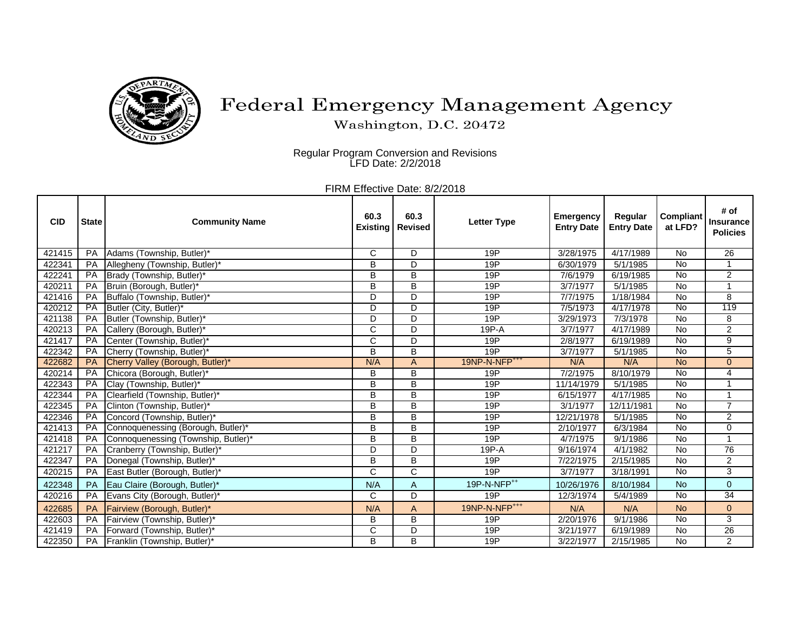

## Federal Emergency Management Agency

Washington, D.C. 20472

Regular Program Conversion and Revisions LFD Date: 2/2/2018

FIRM Effective Date: 8/2/2018

| <b>CID</b> | <b>State</b> | <b>Community Name</b>               | 60.3<br><b>Existing</b> | 60.3<br><b>Revised</b> | <b>Letter Type</b>        | <b>Emergency</b><br><b>Entry Date</b> | Regular<br><b>Entry Date</b> | <b>Compliant</b><br>at LFD? | # of<br><b>Insurance</b><br><b>Policies</b> |
|------------|--------------|-------------------------------------|-------------------------|------------------------|---------------------------|---------------------------------------|------------------------------|-----------------------------|---------------------------------------------|
| 421415     | <b>PA</b>    | Adams (Township, Butler)*           | $\mathsf{C}$            | D                      | 19P                       | 3/28/1975                             | 4/17/1989                    | <b>No</b>                   | $\overline{26}$                             |
| 422341     | PA           | Allegheny (Township, Butler)*       | B                       | D                      | 19P                       | 6/30/1979                             | 5/1/1985                     | No                          | 1                                           |
| 422241     | PA           | Brady (Township, Butler)*           | B                       | B                      | 19P                       | 7/6/1979                              | 6/19/1985                    | No                          | $\overline{2}$                              |
| 420211     | PA           | Bruin (Borough, Butler)*            | B                       | B                      | 19P                       | 3/7/1977                              | 5/1/1985                     | $\overline{N}$              | 1                                           |
| 421416     | PA           | Buffalo (Township, Butler)*         | D                       | D                      | 19P                       | 7/7/1975                              | 1/18/1984                    | No                          | 8                                           |
| 420212     | <b>PA</b>    | Butler (City, Butler)*              | D                       | D                      | 19P                       | 7/5/1973                              | 4/17/1978                    | $\overline{N}$              | 119                                         |
| 421138     | PA           | Butler (Township, Butler)*          | D                       | $\mathsf{D}$           | 19P                       | 3/29/1973                             | 7/3/1978                     | No                          | 8                                           |
| 420213     | PA           | Callery (Borough, Butler)*          | $\mathsf{C}$            | D                      | 19P-A                     | 3/7/1977                              | 4/17/1989                    | No                          | $\overline{2}$                              |
| 421417     | PA           | Center (Township, Butler)*          | $\mathsf{C}$            | D                      | 19P                       | 2/8/1977                              | 6/19/1989                    | <b>No</b>                   | 9                                           |
| 422342     | PA           | Cherry (Township, Butler)*          | B                       | B                      | 19P                       | 3/7/1977                              | 5/1/1985                     | No                          | $\overline{5}$                              |
| 422682     | <b>PA</b>    | Cherry Valley (Borough, Butler)*    | N/A                     | $\overline{A}$         | 19NP-N-NFP <sup>+++</sup> | N/A                                   | N/A                          | <b>No</b>                   | $\overline{0}$                              |
| 420214     | PA           | Chicora (Borough, Butler)*          | B                       | B                      | 19P                       | 7/2/1975                              | 8/10/1979                    | No                          | 4                                           |
| 422343     | PA           | Clay (Township, Butler)*            | B                       | B                      | 19P                       | 11/14/1979                            | 5/1/1985                     | $\overline{N}$              | 1                                           |
| 422344     | PA           | Clearfield (Township, Butler)*      | B                       | B                      | 19P                       | 6/15/1977                             | 4/17/1985                    | <b>No</b>                   | $\mathbf 1$                                 |
| 422345     | PA           | Clinton (Township, Butler)*         | B                       | B                      | 19P                       | 3/1/1977                              | 12/11/1981                   | $\overline{N}$              | $\overline{7}$                              |
| 422346     | PA           | Concord (Township, Butler)*         | B                       | B                      | 19P                       | 12/21/1978                            | 5/1/1985                     | No                          | $\overline{2}$                              |
| 421413     | PA           | Connoquenessing (Borough, Butler)*  | B                       | B                      | 19P                       | 2/10/1977                             | 6/3/1984                     | No                          | $\mathbf 0$                                 |
| 421418     | PA           | Connoquenessing (Township, Butler)* | B                       | B                      | 19P                       | 4/7/1975                              | 9/1/1986                     | No                          | 1                                           |
| 421217     | PA           | Cranberry (Township, Butler)*       | D                       | D                      | 19P-A                     | 9/16/1974                             | 4/1/1982                     | <b>No</b>                   | 76                                          |
| 422347     | PA           | Donegal (Township, Butler)*         | B                       | B                      | 19P                       | 7/22/1975                             | 2/15/1985                    | No                          | $\overline{2}$                              |
| 420215     | PA           | East Butler (Borough, Butler)'      | $\overline{\text{c}}$   | $\overline{C}$         | 19P                       | 3/7/1977                              | 3/18/1991                    | <b>No</b>                   | $\overline{3}$                              |
| 422348     | PA           | Eau Claire (Borough, Butler)*       | N/A                     | $\overline{A}$         | 19P-N-NFP <sup>++</sup>   | 10/26/1976                            | 8/10/1984                    | <b>No</b>                   | $\overline{0}$                              |
| 420216     | PA           | Evans City (Borough, Butler)*       | $\mathsf{C}$            | $\overline{D}$         | 19P                       | 12/3/1974                             | 5/4/1989                     | $\overline{N}$              | 34                                          |
| 422685     | PA           | Fairview (Borough, Butler)*         | N/A                     | A                      | 19NP-N-NFP <sup>+++</sup> | N/A                                   | N/A                          | <b>No</b>                   | $\overline{0}$                              |
| 422603     | PA           | Fairview (Township, Butler)*        | B                       | B                      | 19P                       | 2/20/1976                             | 9/1/1986                     | <b>No</b>                   | 3                                           |
| 421419     | PA           | Forward (Township, Butler)*         | $\mathsf{C}$            | D                      | 19P                       | 3/21/1977                             | 6/19/1989                    | No                          | 26                                          |
| 422350     | PA           | Franklin (Township, Butler)*        | B                       | B                      | 19P                       | 3/22/1977                             | 2/15/1985                    | <b>No</b>                   | $\overline{2}$                              |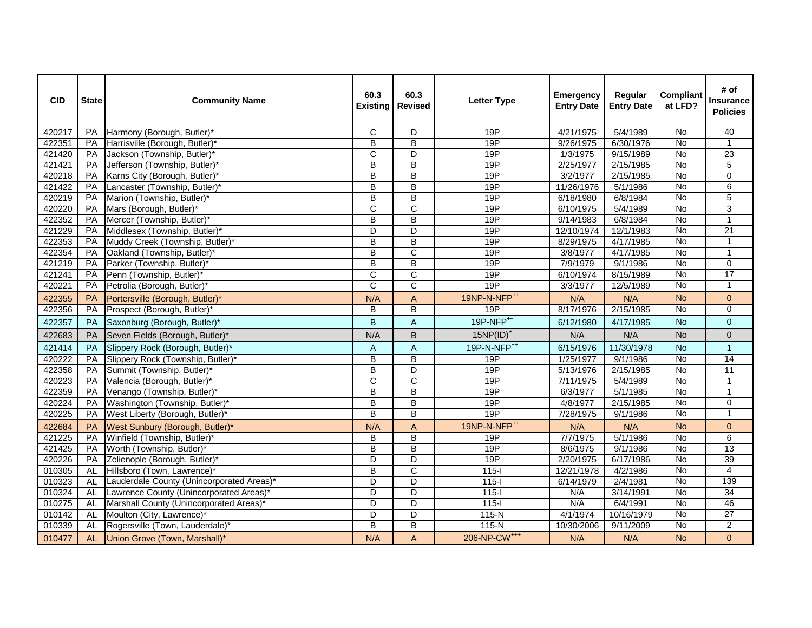| <b>CID</b> | <b>State</b> | <b>Community Name</b>                     | 60.3<br><b>Existing</b> | 60.3<br><b>Revised</b>    | <b>Letter Type</b>        | <b>Emergency</b><br><b>Entry Date</b> | Regular<br><b>Entry Date</b> | <b>Compliant</b><br>at LFD? | # of<br><b>Insurance</b><br><b>Policies</b> |
|------------|--------------|-------------------------------------------|-------------------------|---------------------------|---------------------------|---------------------------------------|------------------------------|-----------------------------|---------------------------------------------|
| 420217     | PA           | Harmony (Borough, Butler)*                | С                       | D                         | 19P                       | 4/21/1975                             | 5/4/1989                     | <b>No</b>                   | 40                                          |
| 422351     | PA           | Harrisville (Borough, Butler)*            | B                       | B                         | 19P                       | 9/26/1975                             | 6/30/1976                    | No                          | $\mathbf{1}$                                |
| 421420     | PA           | Jackson (Township, Butler)*               | $\overline{\text{C}}$   | D                         | 19P                       | 1/3/1975                              | $\frac{9}{15}$ 1989          | No                          | $\overline{23}$                             |
| 421421     | PA           | Jefferson (Township, Butler)*             | B                       | B                         | 19P                       | 2/25/1977                             | 2/15/1985                    | No                          | $\overline{5}$                              |
| 420218     | PA           | Karns City (Borough, Butler)*             | B                       | B                         | 19P                       | 3/2/1977                              | 2/15/1985                    | <b>No</b>                   | 0                                           |
| 421422     | PA           | Lancaster (Township, Butler)*             | B                       | B                         | 19P                       | 11/26/1976                            | 5/1/1986                     | <b>No</b>                   | 6                                           |
| 420219     | PA           | Marion (Township, Butler)*                | B                       | B                         | 19P                       | 6/18/1980                             | 6/8/1984                     | No                          | 5                                           |
| 420220     | PA           | Mars (Borough, Butler)*                   | $\overline{\text{C}}$   | $\overline{\text{C}}$     | 19P                       | 6/10/1975                             | 5/4/1989                     | $\overline{N}$              | $\overline{3}$                              |
| 422352     | PA           | Mercer (Township, Butler)*                | B                       | B                         | 19P                       | 9/14/1983                             | 6/8/1984                     | <b>No</b>                   | $\mathbf{1}$                                |
| 421229     | PA           | Middlesex (Township, Butler)*             | D                       | D                         | 19P                       | 12/10/1974                            | 12/1/1983                    | No                          | 21                                          |
| 422353     | PA           | Muddy Creek (Township, Butler)*           | B                       | B                         | 19P                       | 8/29/1975                             | 4/17/1985                    | No                          | $\mathbf{1}$                                |
| 422354     | PA           | Oakland (Township, Butler)*               | B                       | $\mathsf{C}$              | 19P                       | 3/8/1977                              | 4/17/1985                    | <b>No</b>                   | $\mathbf{1}$                                |
| 421219     | PA           | Parker (Township, Butler)*                | B                       | B                         | 19P                       | 7/9/1979                              | 9/1/1986                     | <b>No</b>                   | 0                                           |
| 421241     | PA           | Penn (Township, Butler)*                  | C                       | $\mathsf{C}$              | 19P                       | 6/10/1974                             | 8/15/1989                    | No                          | 17                                          |
| 420221     | PA           | Petrolia (Borough, Butler)*               | $\overline{\rm C}$      | $\mathsf{C}$              | 19P                       | 3/3/1977                              | 12/5/1989                    | No                          | $\mathbf{1}$                                |
| 422355     | PA           | Portersville (Borough, Butler)*           | N/A                     | A                         | 19NP-N-NFP <sup>+++</sup> | N/A                                   | N/A                          | <b>No</b>                   | $\mathbf 0$                                 |
| 422356     | <b>PA</b>    | Prospect (Borough, Butler)*               | В                       | B                         | 19P                       | 8/17/1976                             | 2/15/1985                    | <b>No</b>                   | 0                                           |
| 422357     | PA           | Saxonburg (Borough, Butler)*              | B                       | $\boldsymbol{\mathsf{A}}$ | 19P-NFP <sup>++</sup>     | 6/12/1980                             | 4/17/1985                    | <b>No</b>                   | $\overline{0}$                              |
| 422683     | PA           | Seven Fields (Borough, Butler)*           | N/A                     | B                         | $15NP(ID)^+$              | N/A                                   | N/A                          | <b>No</b>                   | $\pmb{0}$                                   |
| 421414     | PA           | Slippery Rock (Borough, Butler)*          | A                       | $\boldsymbol{\mathsf{A}}$ | 19P-N-NFP <sup>++</sup>   | 6/15/1976                             | 11/30/1978                   | <b>No</b>                   | $\mathbf{1}$                                |
| 420222     | PA           | Slippery Rock (Township, Butler)*         | B                       | $\overline{B}$            | 19P                       | 1/25/1977                             | 9/1/1986                     | <b>No</b>                   | 14                                          |
| 422358     | PA           | Summit (Township, Butler)*                | B                       | D                         | 19P                       | 5/13/1976                             | 2/15/1985                    | No                          | $\overline{11}$                             |
| 420223     | PA           | Valencia (Borough, Butler)*               | C                       | $\mathsf{C}$              | 19P                       | 7/11/1975                             | 5/4/1989                     | No                          | $\mathbf{1}$                                |
| 422359     | PA           | Venango (Township, Butler)*               | $\overline{\mathsf{B}}$ | $\overline{B}$            | 19P                       | 6/3/1977                              | 5/1/1985                     | $\overline{N}$              | $\overline{1}$                              |
| 420224     | PA           | Washington (Township, Butler)*            | B                       | B                         | 19P                       | 4/8/1977                              | 2/15/1985                    | <b>No</b>                   | $\mathbf 0$                                 |
| 420225     | PA           | West Liberty (Borough, Butler)*           | B                       | B                         | 19P                       | 7/28/1975                             | 9/1/1986                     | No                          | $\mathbf{1}$                                |
| 422684     | PA           | West Sunbury (Borough, Butler)*           | N/A                     | Α                         | 19NP-N-NFP <sup>+++</sup> | N/A                                   | N/A                          | <b>No</b>                   | $\overline{0}$                              |
| 421225     | PA           | Winfield (Township, Butler)*              | B                       | B                         | 19P                       | 7/7/1975                              | 5/1/1986                     | $\overline{N}$              | $\overline{6}$                              |
| 421425     | PA           | Worth (Township, Butler)*                 | B                       | B                         | 19P                       | 8/6/1975                              | 9/1/1986                     | No                          | $\overline{13}$                             |
| 420226     | PA           | Zelienople (Borough, Butler)*             | D                       | D                         | 19P                       | 2/20/1975                             | 6/17/1986                    | No                          | $\overline{39}$                             |
| 010305     | AL           | Hillsboro (Town, Lawrence)*               | B                       | C                         | $115 -$                   | 12/21/1978                            | 4/2/1986                     | No                          | 4                                           |
| 010323     | AL           | Lauderdale County (Unincorporated Areas)* | D                       | D                         | $115 -$                   | 6/14/1979                             | 2/4/1981                     | No                          | 139                                         |
| 010324     | AL           | Lawrence County (Unincorporated Areas)*   | D                       | D                         | $115 -$                   | N/A                                   | 3/14/1991                    | No                          | 34                                          |
| 010275     | AL           | Marshall County (Unincorporated Areas)*   | D                       | D                         | $115-I$                   | N/A                                   | 6/4/1991                     | No                          | 46                                          |
| 010142     | <b>AL</b>    | Moulton (City, Lawrence)*                 | D                       | D                         | 115-N                     | 4/1/1974                              | 10/16/1979                   | No                          | 27                                          |
| 010339     | AL           | Rogersville (Town, Lauderdale)*           | B                       | B                         | 115-N                     | 10/30/2006                            | 9/11/2009                    | No                          | $\overline{2}$                              |
| 010477     |              | AL <b>Union Grove (Town, Marshall)*</b>   | N/A                     | $\mathsf{A}$              | 206-NP-CW <sup>+++</sup>  | N/A                                   | N/A                          | <b>No</b>                   | $\mathbf 0$                                 |